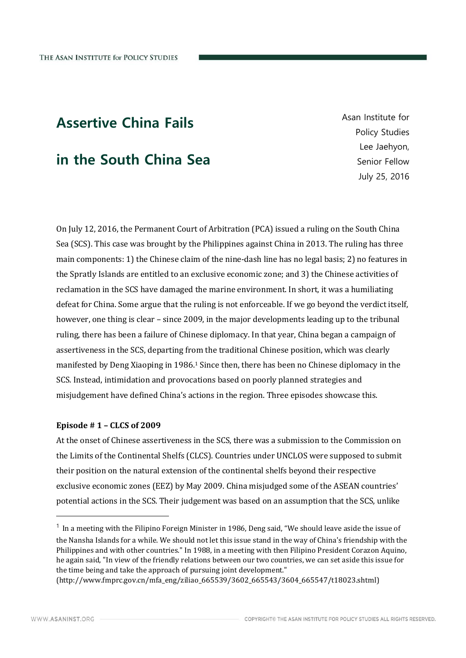# Assertive China Fails

## in the South China Sea

Asan Institute for Policy Studies Lee Jaehyon, Senior Fellow July 25, 2016

On July 12, 2016, the Permanent Court of Arbitration (PCA) issued a ruling on the South China Sea (SCS). This case was brought by the Philippines against China in 2013. The ruling has three main components: 1) the Chinese claim of the nine-dash line has no legal basis; 2) no features in the Spratly Islands are entitled to an exclusive economic zone; and 3) the Chinese activities of reclamation in the SCS have damaged the marine environment. In short, it was a humiliating defeat for China. Some argue that the ruling is not enforceable. If we go beyond the verdict itself, however, one thing is clear – since 2009, in the major developments leading up to the tribunal ruling, there has been a failure of Chinese diplomacy. In that year, China began a campaign of assertiveness in the SCS, departing from the traditional Chinese position, which was clearly manifested by Deng Xiaoping in 1986.<sup>1</sup> Since then, there has been no Chinese diplomacy in the SCS. Instead, intimidation and provocations based on poorly planned strategies and misjudgement have defined China's actions in the region. Three episodes showcase this.

### **Episode # 1 – CLCS of 2009**

At the onset of Chinese assertiveness in the SCS, there was a submission to the Commission on the Limits of the Continental Shelfs (CLCS). Countries under UNCLOS were supposed to submit their position on the natural extension of the continental shelfs beyond their respective exclusive economic zones (EEZ) by May 2009. China misjudged some of the ASEAN countries' potential actions in the SCS. Their judgement was based on an assumption that the SCS, unlike

-

<sup>&</sup>lt;sup>1</sup> In a meeting with the Filipino Foreign Minister in 1986, Deng said, "We should leave aside the issue of the Nansha Islands for a while. We should not let this issue stand in the way of China's friendship with the Philippines and with other countries." In 1988, in a meeting with then Filipino President Corazon Aquino, he again said, "In view of the friendly relations between our two countries, we can set aside this issue for the time being and take the approach of pursuing joint development."

<sup>(</sup>http://www.fmprc.gov.cn/mfa\_eng/ziliao\_665539/3602\_665543/3604\_665547/t18023.shtml)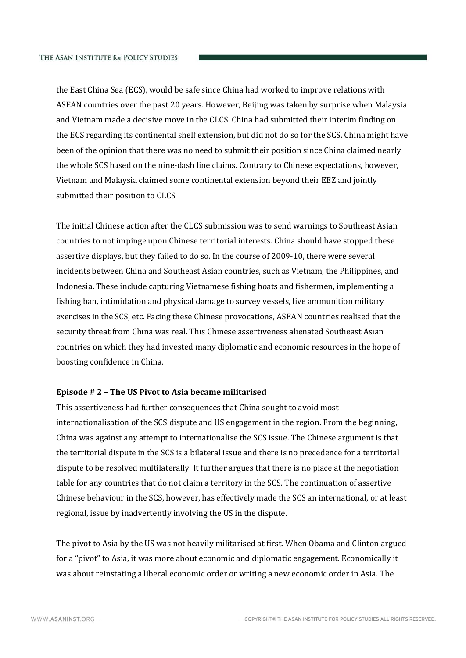the East China Sea (ECS), would be safe since China had worked to improve relations with ASEAN countries over the past 20 years. However, Beijing was taken by surprise when Malaysia and Vietnam made a decisive move in the CLCS. China had submitted their interim finding on the ECS regarding its continental shelf extension, but did not do so for the SCS. China might have been of the opinion that there was no need to submit their position since China claimed nearly the whole SCS based on the nine-dash line claims. Contrary to Chinese expectations, however, Vietnam and Malaysia claimed some continental extension beyond their EEZ and jointly submitted their position to CLCS.

The initial Chinese action after the CLCS submission was to send warnings to Southeast Asian countries to not impinge upon Chinese territorial interests. China should have stopped these assertive displays, but they failed to do so. In the course of 2009-10, there were several incidents between China and Southeast Asian countries, such as Vietnam, the Philippines, and Indonesia. These include capturing Vietnamese fishing boats and fishermen, implementing a fishing ban, intimidation and physical damage to survey vessels, live ammunition military exercises in the SCS, etc. Facing these Chinese provocations, ASEAN countries realised that the security threat from China was real. This Chinese assertiveness alienated Southeast Asian countries on which they had invested many diplomatic and economic resources in the hope of boosting confidence in China.

#### **Episode # 2 – The US Pivot to Asia became militarised**

This assertiveness had further consequences that China sought to avoid mostinternationalisation of the SCS dispute and US engagement in the region. From the beginning, China was against any attempt to internationalise the SCS issue. The Chinese argument is that the territorial dispute in the SCS is a bilateral issue and there is no precedence for a territorial dispute to be resolved multilaterally. It further argues that there is no place at the negotiation table for any countries that do not claim a territory in the SCS. The continuation of assertive Chinese behaviour in the SCS, however, has effectively made the SCS an international, or at least regional, issue by inadvertently involving the US in the dispute.

The pivot to Asia by the US was not heavily militarised at first. When Obama and Clinton argued for a "pivot" to Asia, it was more about economic and diplomatic engagement. Economically it was about reinstating a liberal economic order or writing a new economic order in Asia. The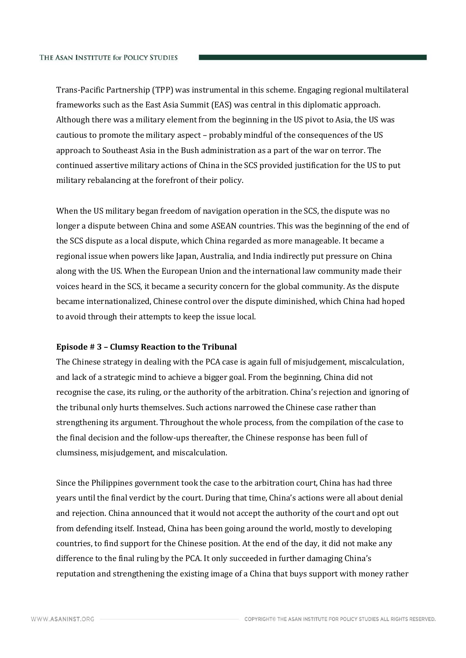Trans-Pacific Partnership (TPP) was instrumental in this scheme. Engaging regional multilateral frameworks such as the East Asia Summit (EAS) was central in this diplomatic approach. Although there was a military element from the beginning in the US pivot to Asia, the US was cautious to promote the military aspect – probably mindful of the consequences of the US approach to Southeast Asia in the Bush administration as a part of the war on terror. The continued assertive military actions of China in the SCS provided justification for the US to put military rebalancing at the forefront of their policy.

When the US military began freedom of navigation operation in the SCS, the dispute was no longer a dispute between China and some ASEAN countries. This was the beginning of the end of the SCS dispute as a local dispute, which China regarded as more manageable. It became a regional issue when powers like Japan, Australia, and India indirectly put pressure on China along with the US. When the European Union and the international law community made their voices heard in the SCS, it became a security concern for the global community. As the dispute became internationalized, Chinese control over the dispute diminished, which China had hoped to avoid through their attempts to keep the issue local.

#### **Episode # 3 – Clumsy Reaction to the Tribunal**

The Chinese strategy in dealing with the PCA case is again full of misjudgement, miscalculation, and lack of a strategic mind to achieve a bigger goal. From the beginning, China did not recognise the case, its ruling, or the authority of the arbitration. China's rejection and ignoring of the tribunal only hurts themselves. Such actions narrowed the Chinese case rather than strengthening its argument. Throughout the whole process, from the compilation of the case to the final decision and the follow-ups thereafter, the Chinese response has been full of clumsiness, misjudgement, and miscalculation.

Since the Philippines government took the case to the arbitration court, China has had three years until the final verdict by the court. During that time, China's actions were all about denial and rejection. China announced that it would not accept the authority of the court and opt out from defending itself. Instead, China has been going around the world, mostly to developing countries, to find support for the Chinese position. At the end of the day, it did not make any difference to the final ruling by the PCA. It only succeeded in further damaging China's reputation and strengthening the existing image of a China that buys support with money rather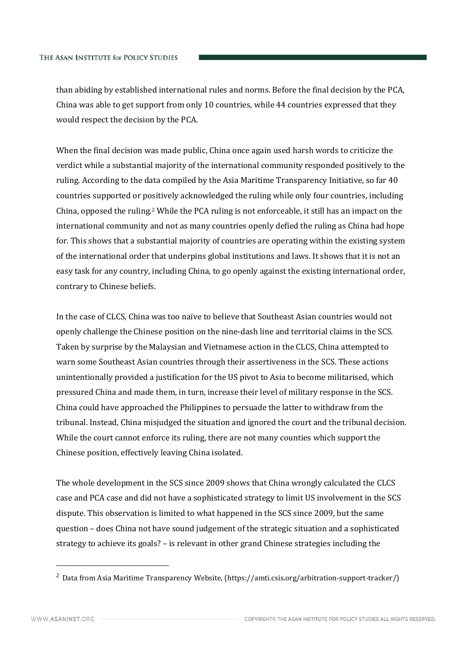than abiding by established international rules and norms. Before the final decision by the PCA, China was able to get support from only 10 countries, while 44 countries expressed that they would respect the decision by the PCA.

When the final decision was made public, China once again used harsh words to criticize the verdict while a substantial majority of the international community responded positively to the ruling. According to the data compiled by the Asia Maritime Transparency Initiative, so far 40 countries supported or positively acknowledged the ruling while only four countries, including China, opposed the ruling.<sup>2</sup> While the PCA ruling is not enforceable, it still has an impact on the international community and not as many countries openly defied the ruling as China had hope for. This shows that a substantial majority of countries are operating within the existing system of the international order that underpins global institutions and laws. It shows that it is not an easy task for any country, including China, to go openly against the existing international order, contrary to Chinese beliefs.

In the case of CLCS, China was too naïve to believe that Southeast Asian countries would not openly challenge the Chinese position on the nine-dash line and territorial claims in the SCS. Taken by surprise by the Malaysian and Vietnamese action in the CLCS, China attempted to warn some Southeast Asian countries through their assertiveness in the SCS. These actions unintentionally provided a justification for the US pivot to Asia to become militarised, which pressured China and made them, in turn, increase their level of military response in the SCS. China could have approached the Philippines to persuade the latter to withdraw from the tribunal. Instead, China misjudged the situation and ignored the court and the tribunal decision. While the court cannot enforce its ruling, there are not many counties which support the Chinese position, effectively leaving China isolated.

The whole development in the SCS since 2009 shows that China wrongly calculated the CLCS case and PCA case and did not have a sophisticated strategy to limit US involvement in the SCS dispute. This observation is limited to what happened in the SCS since 2009, but the same question – does China not have sound judgement of the strategic situation and a sophisticated strategy to achieve its goals? – is relevant in other grand Chinese strategies including the

-

<sup>&</sup>lt;sup>2</sup> Data from Asia Maritime Transparency Website, (https://amti.csis.org/arbitration-support-tracker/)